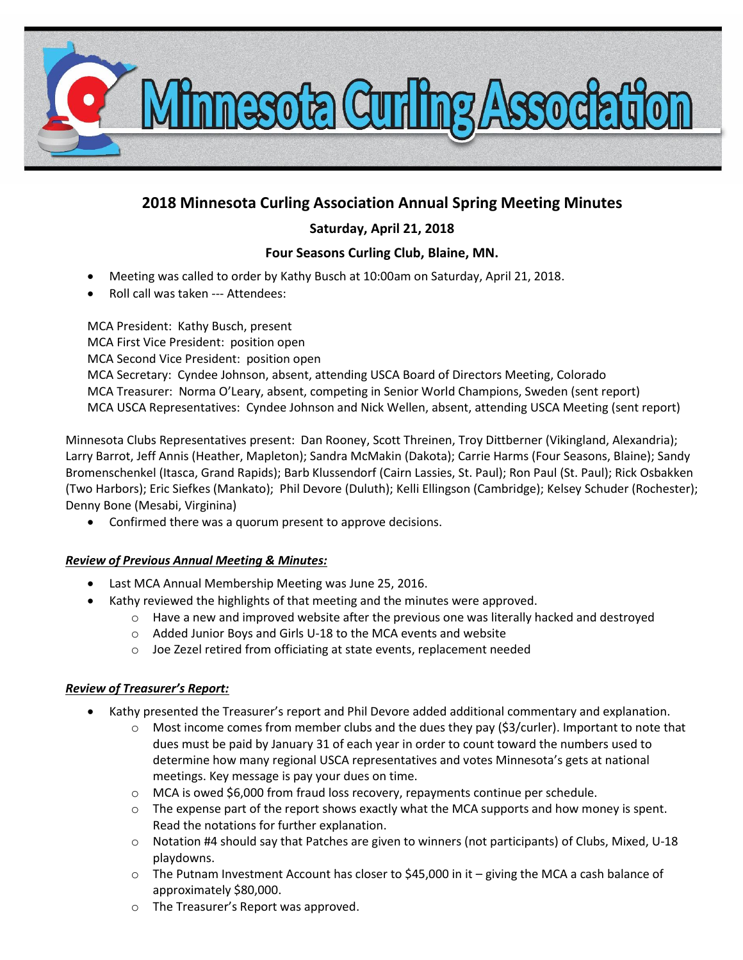

# **2018 Minnesota Curling Association Annual Spring Meeting Minutes**

## **Saturday, April 21, 2018**

# **Four Seasons Curling Club, Blaine, MN.**

- Meeting was called to order by Kathy Busch at 10:00am on Saturday, April 21, 2018.
- Roll call was taken --- Attendees:

MCA President: Kathy Busch, present MCA First Vice President: position open MCA Second Vice President: position open MCA Secretary: Cyndee Johnson, absent, attending USCA Board of Directors Meeting, Colorado MCA Treasurer: Norma O'Leary, absent, competing in Senior World Champions, Sweden (sent report) MCA USCA Representatives: Cyndee Johnson and Nick Wellen, absent, attending USCA Meeting (sent report)

Minnesota Clubs Representatives present: Dan Rooney, Scott Threinen, Troy Dittberner (Vikingland, Alexandria); Larry Barrot, Jeff Annis (Heather, Mapleton); Sandra McMakin (Dakota); Carrie Harms (Four Seasons, Blaine); Sandy Bromenschenkel (Itasca, Grand Rapids); Barb Klussendorf (Cairn Lassies, St. Paul); Ron Paul (St. Paul); Rick Osbakken (Two Harbors); Eric Siefkes (Mankato); Phil Devore (Duluth); Kelli Ellingson (Cambridge); Kelsey Schuder (Rochester); Denny Bone (Mesabi, Virginina)

Confirmed there was a quorum present to approve decisions.

## *Review of Previous Annual Meeting & Minutes:*

- Last MCA Annual Membership Meeting was June 25, 2016.
- Kathy reviewed the highlights of that meeting and the minutes were approved.
	- o Have a new and improved website after the previous one was literally hacked and destroyed
	- o Added Junior Boys and Girls U-18 to the MCA events and website
	- o Joe Zezel retired from officiating at state events, replacement needed

## *Review of Treasurer's Report:*

- Kathy presented the Treasurer's report and Phil Devore added additional commentary and explanation.
	- Most income comes from member clubs and the dues they pay (\$3/curler). Important to note that dues must be paid by January 31 of each year in order to count toward the numbers used to determine how many regional USCA representatives and votes Minnesota's gets at national meetings. Key message is pay your dues on time.
	- o MCA is owed \$6,000 from fraud loss recovery, repayments continue per schedule.
	- $\circ$  The expense part of the report shows exactly what the MCA supports and how money is spent. Read the notations for further explanation.
	- o Notation #4 should say that Patches are given to winners (not participants) of Clubs, Mixed, U-18 playdowns.
	- $\circ$  The Putnam Investment Account has closer to \$45,000 in it giving the MCA a cash balance of approximately \$80,000.
	- o The Treasurer's Report was approved.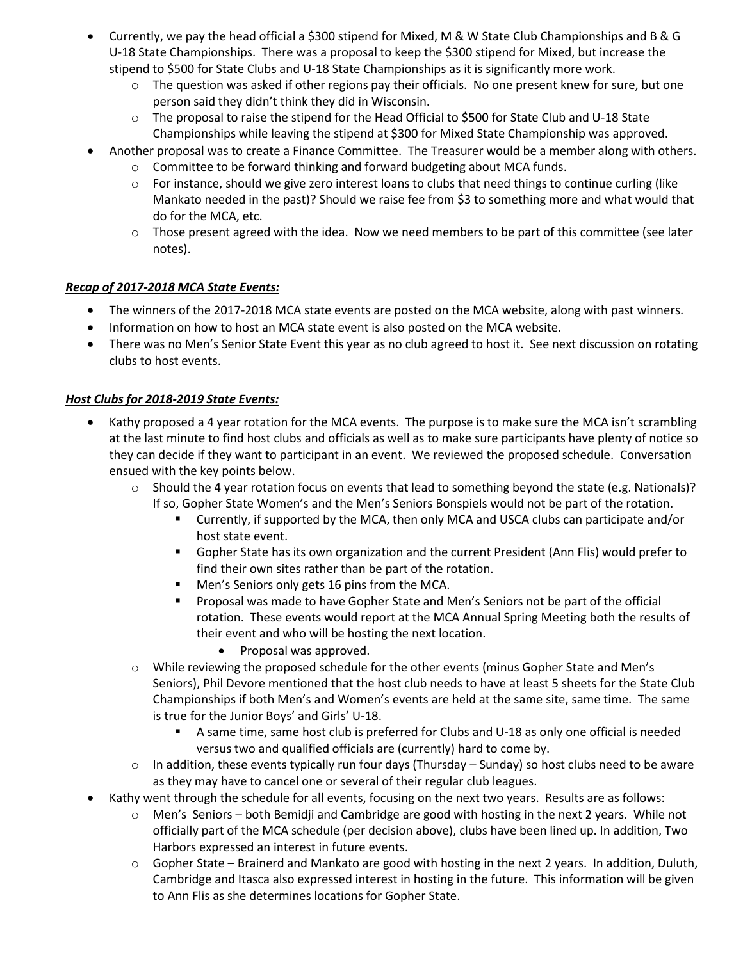- Currently, we pay the head official a \$300 stipend for Mixed, M & W State Club Championships and B & G U-18 State Championships. There was a proposal to keep the \$300 stipend for Mixed, but increase the stipend to \$500 for State Clubs and U-18 State Championships as it is significantly more work.
	- $\circ$  The question was asked if other regions pay their officials. No one present knew for sure, but one person said they didn't think they did in Wisconsin.
	- $\circ$  The proposal to raise the stipend for the Head Official to \$500 for State Club and U-18 State Championships while leaving the stipend at \$300 for Mixed State Championship was approved.
- Another proposal was to create a Finance Committee. The Treasurer would be a member along with others.
	- $\circ$  Committee to be forward thinking and forward budgeting about MCA funds.
	- $\circ$  For instance, should we give zero interest loans to clubs that need things to continue curling (like Mankato needed in the past)? Should we raise fee from \$3 to something more and what would that do for the MCA, etc.
	- $\circ$  Those present agreed with the idea. Now we need members to be part of this committee (see later notes).

## *Recap of 2017-2018 MCA State Events:*

- The winners of the 2017-2018 MCA state events are posted on the MCA website, along with past winners.
- Information on how to host an MCA state event is also posted on the MCA website.
- There was no Men's Senior State Event this year as no club agreed to host it. See next discussion on rotating clubs to host events.

## *Host Clubs for 2018-2019 State Events:*

- Kathy proposed a 4 year rotation for the MCA events. The purpose is to make sure the MCA isn't scrambling at the last minute to find host clubs and officials as well as to make sure participants have plenty of notice so they can decide if they want to participant in an event. We reviewed the proposed schedule. Conversation ensued with the key points below.
	- $\circ$  Should the 4 year rotation focus on events that lead to something beyond the state (e.g. Nationals)? If so, Gopher State Women's and the Men's Seniors Bonspiels would not be part of the rotation.
		- Currently, if supported by the MCA, then only MCA and USCA clubs can participate and/or host state event.
		- Gopher State has its own organization and the current President (Ann Flis) would prefer to find their own sites rather than be part of the rotation.
		- **Men's Seniors only gets 16 pins from the MCA.**
		- Proposal was made to have Gopher State and Men's Seniors not be part of the official rotation. These events would report at the MCA Annual Spring Meeting both the results of their event and who will be hosting the next location.
			- Proposal was approved.
	- o While reviewing the proposed schedule for the other events (minus Gopher State and Men's Seniors), Phil Devore mentioned that the host club needs to have at least 5 sheets for the State Club Championships if both Men's and Women's events are held at the same site, same time. The same is true for the Junior Boys' and Girls' U-18.
		- A same time, same host club is preferred for Clubs and U-18 as only one official is needed versus two and qualified officials are (currently) hard to come by.
	- $\circ$  In addition, these events typically run four days (Thursday Sunday) so host clubs need to be aware as they may have to cancel one or several of their regular club leagues.
- Kathy went through the schedule for all events, focusing on the next two years. Results are as follows:
	- o Men's Seniors both Bemidji and Cambridge are good with hosting in the next 2 years. While not officially part of the MCA schedule (per decision above), clubs have been lined up. In addition, Two Harbors expressed an interest in future events.
	- $\circ$  Gopher State Brainerd and Mankato are good with hosting in the next 2 years. In addition, Duluth, Cambridge and Itasca also expressed interest in hosting in the future. This information will be given to Ann Flis as she determines locations for Gopher State.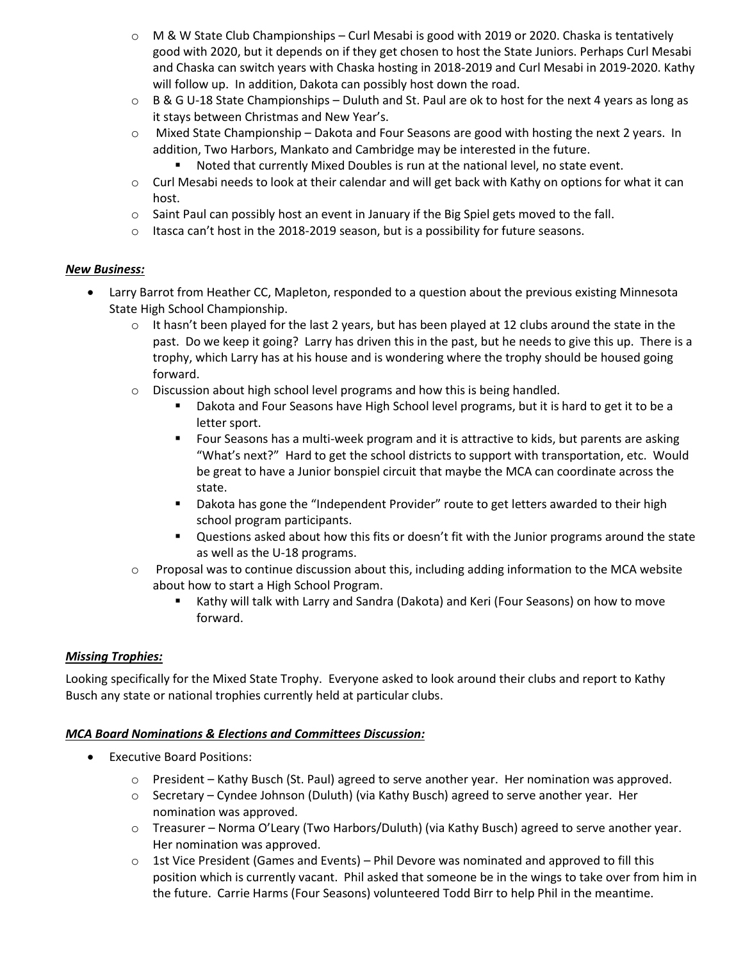- $\circ$  M & W State Club Championships Curl Mesabi is good with 2019 or 2020. Chaska is tentatively good with 2020, but it depends on if they get chosen to host the State Juniors. Perhaps Curl Mesabi and Chaska can switch years with Chaska hosting in 2018-2019 and Curl Mesabi in 2019-2020. Kathy will follow up. In addition, Dakota can possibly host down the road.
- $\circ$  B & G U-18 State Championships Duluth and St. Paul are ok to host for the next 4 years as long as it stays between Christmas and New Year's.
- $\circ$  Mixed State Championship Dakota and Four Seasons are good with hosting the next 2 years. In addition, Two Harbors, Mankato and Cambridge may be interested in the future.
	- Noted that currently Mixed Doubles is run at the national level, no state event.
- $\circ$  Curl Mesabi needs to look at their calendar and will get back with Kathy on options for what it can host.
- $\circ$  Saint Paul can possibly host an event in January if the Big Spiel gets moved to the fall.
- $\circ$  Itasca can't host in the 2018-2019 season, but is a possibility for future seasons.

## *New Business:*

- Larry Barrot from Heather CC, Mapleton, responded to a question about the previous existing Minnesota State High School Championship.
	- $\circ$  It hasn't been played for the last 2 years, but has been played at 12 clubs around the state in the past. Do we keep it going? Larry has driven this in the past, but he needs to give this up. There is a trophy, which Larry has at his house and is wondering where the trophy should be housed going forward.
	- $\circ$  Discussion about high school level programs and how this is being handled.
		- **Dakota and Four Seasons have High School level programs, but it is hard to get it to be a** letter sport.
		- **FIGUR 1** Four Seasons has a multi-week program and it is attractive to kids, but parents are asking "What's next?" Hard to get the school districts to support with transportation, etc. Would be great to have a Junior bonspiel circuit that maybe the MCA can coordinate across the state.
		- **•** Dakota has gone the "Independent Provider" route to get letters awarded to their high school program participants.
		- Questions asked about how this fits or doesn't fit with the Junior programs around the state as well as the U-18 programs.
	- $\circ$  Proposal was to continue discussion about this, including adding information to the MCA website about how to start a High School Program.
		- Kathy will talk with Larry and Sandra (Dakota) and Keri (Four Seasons) on how to move forward.

## *Missing Trophies:*

Looking specifically for the Mixed State Trophy. Everyone asked to look around their clubs and report to Kathy Busch any state or national trophies currently held at particular clubs.

## *MCA Board Nominations & Elections and Committees Discussion:*

- Executive Board Positions:
	- o President Kathy Busch (St. Paul) agreed to serve another year. Her nomination was approved.
	- $\circ$  Secretary Cyndee Johnson (Duluth) (via Kathy Busch) agreed to serve another year. Her nomination was approved.
	- o Treasurer Norma O'Leary (Two Harbors/Duluth) (via Kathy Busch) agreed to serve another year. Her nomination was approved.
	- $\circ$  1st Vice President (Games and Events) Phil Devore was nominated and approved to fill this position which is currently vacant. Phil asked that someone be in the wings to take over from him in the future. Carrie Harms (Four Seasons) volunteered Todd Birr to help Phil in the meantime.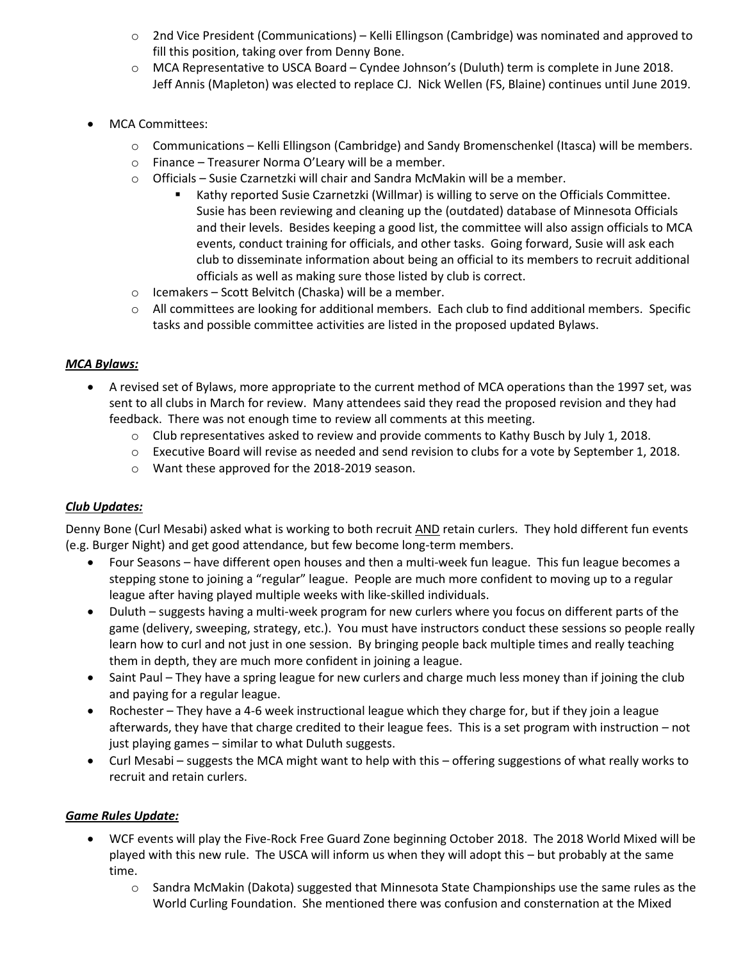- $\circ$  2nd Vice President (Communications) Kelli Ellingson (Cambridge) was nominated and approved to fill this position, taking over from Denny Bone.
- o MCA Representative to USCA Board Cyndee Johnson's (Duluth) term is complete in June 2018. Jeff Annis (Mapleton) was elected to replace CJ. Nick Wellen (FS, Blaine) continues until June 2019.
- MCA Committees:
	- o Communications Kelli Ellingson (Cambridge) and Sandy Bromenschenkel (Itasca) will be members.
	- o Finance Treasurer Norma O'Leary will be a member.
	- $\circ$  Officials Susie Czarnetzki will chair and Sandra McMakin will be a member.
		- Kathy reported Susie Czarnetzki (Willmar) is willing to serve on the Officials Committee. Susie has been reviewing and cleaning up the (outdated) database of Minnesota Officials and their levels. Besides keeping a good list, the committee will also assign officials to MCA events, conduct training for officials, and other tasks. Going forward, Susie will ask each club to disseminate information about being an official to its members to recruit additional officials as well as making sure those listed by club is correct.
	- o Icemakers Scott Belvitch (Chaska) will be a member.
	- $\circ$  All committees are looking for additional members. Each club to find additional members. Specific tasks and possible committee activities are listed in the proposed updated Bylaws.

## *MCA Bylaws:*

- A revised set of Bylaws, more appropriate to the current method of MCA operations than the 1997 set, was sent to all clubs in March for review. Many attendees said they read the proposed revision and they had feedback. There was not enough time to review all comments at this meeting.
	- o Club representatives asked to review and provide comments to Kathy Busch by July 1, 2018.
	- o Executive Board will revise as needed and send revision to clubs for a vote by September 1, 2018.
	- o Want these approved for the 2018-2019 season.

## *Club Updates:*

Denny Bone (Curl Mesabi) asked what is working to both recruit AND retain curlers. They hold different fun events (e.g. Burger Night) and get good attendance, but few become long-term members.

- Four Seasons have different open houses and then a multi-week fun league. This fun league becomes a stepping stone to joining a "regular" league. People are much more confident to moving up to a regular league after having played multiple weeks with like-skilled individuals.
- Duluth suggests having a multi-week program for new curlers where you focus on different parts of the game (delivery, sweeping, strategy, etc.). You must have instructors conduct these sessions so people really learn how to curl and not just in one session. By bringing people back multiple times and really teaching them in depth, they are much more confident in joining a league.
- Saint Paul They have a spring league for new curlers and charge much less money than if joining the club and paying for a regular league.
- Rochester They have a 4-6 week instructional league which they charge for, but if they join a league afterwards, they have that charge credited to their league fees. This is a set program with instruction – not just playing games – similar to what Duluth suggests.
- Curl Mesabi suggests the MCA might want to help with this offering suggestions of what really works to recruit and retain curlers.

## *Game Rules Update:*

- WCF events will play the Five-Rock Free Guard Zone beginning October 2018. The 2018 World Mixed will be played with this new rule. The USCA will inform us when they will adopt this – but probably at the same time.
	- $\circ$  Sandra McMakin (Dakota) suggested that Minnesota State Championships use the same rules as the World Curling Foundation. She mentioned there was confusion and consternation at the Mixed